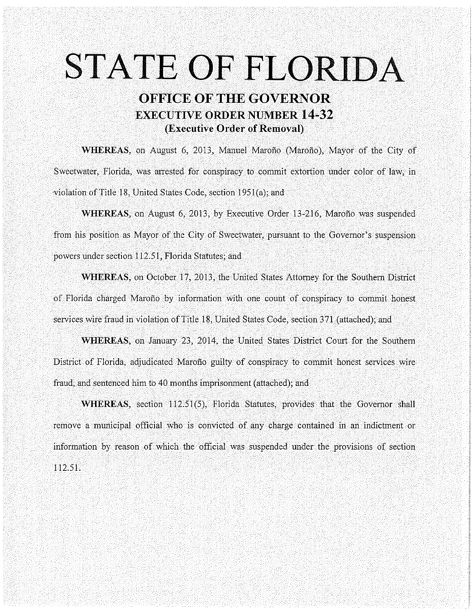# **STATE OF FLORIDA**

# **OFFICE OF THE GOVERNOR EXECUTIVE ORDER NUMBER 14-32 (Executive Order of Removal)**

**WHEREAS,** on August 6, 2013, Manuel Marofio (Marofio), Mayor of the City of Sweetwater, Florida, was arrested for conspiracy to commit extortion under color of law, in violation of Title 18, United States Code, section 1951(a); and

**WHEREAS,** on August 6, 2013, by Executive Order 13-216, Marofio was suspended from his position as Mayor of the City of Sweetwater, pursuant to the Governor's suspension powers under section 112.51, Florida Statutes; and

**WHEREAS,** on October 17,2013, the United States Attorney for the Southern District of Florida charged Marofio by information with one count of conspiracy to commit honest services wire fraud in violation of Title 18, United States Code, section 371 (attached); and

**WHEREAS,** on January 23, 2014, the United States District Court for the Southern District of Florida, adjudicated Marofio guilty of conspiracy to commit honest services wire fraud, and sentenced him to 40 months imprisonment (attached); and

**WHEREAS,** section 112.51(5), Florida Statutes, provides that the Governor shall remove a municipal official who is convicted of any charge contained in an indictment or information by reason of which the official was suspended under the provisions of section 112.51.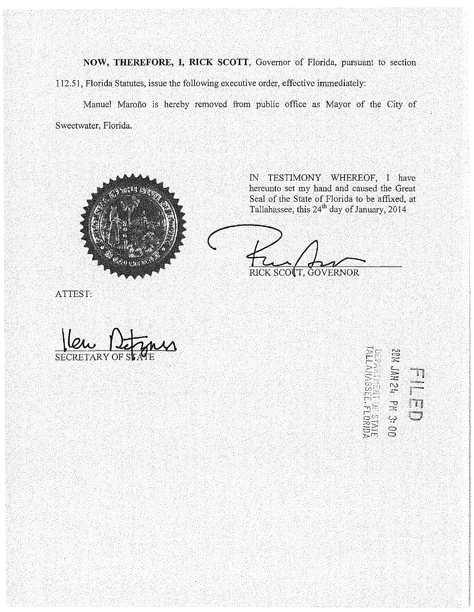**NOW, THEREFORE, I, RICK SCOTT,** Governor of Florida, pursuant to section 112.51, Florida Statutes, issue the following executive order, effective immediately:

Manuel Marofio is hereby removed from public office as Mayor of the City of Sweetwater, Florida.



IN TESTIMONY WHEREOF, I have hereunto set my hand and caused the Great Seal of the State of Florida to be affixed, at Tallahassee, this 24<sup>th</sup> day of January, 2014

RICK SCOTT, GOVERNOR

ATTEST:

**SECRE** 

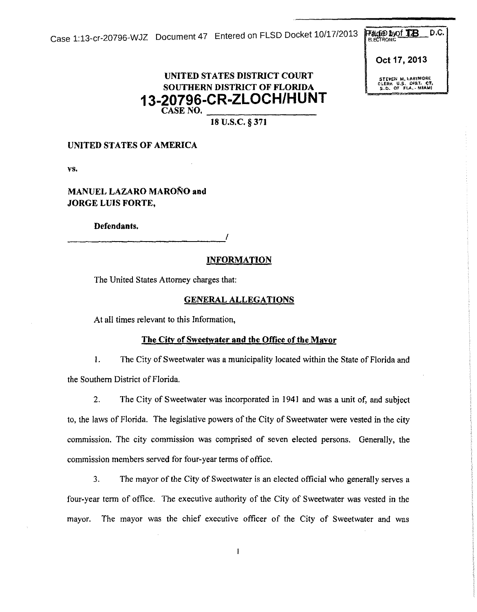Case 1:13-cr-20796-WJZ Document 47 Entered on FLSD Docket  $10/17/2013$  Packnows D.C.

**Oct 17,2013** 

**CLEAR U.S. CHAT.**<br>5.D. OF FLA. - MIN

## **UNITED STATES DISTRICT COURT SOUTHERN DISTRICT OF FLORIDA 13-20796-CR-ZLOCH/HUNT CASENO. \_\_\_\_\_\_\_\_\_\_\_\_\_\_ \_\_**

**18 u.s.c. § 371** 

### **UNITED STATES OF AMERICA**

vs.

**MANUEL LAZARO MARONO and JORGE LUIS FORTE,** 

**Defendants.** 

# ----------------------------' **INFORMATION**

The United States Attorney charges that:

### **GENERAL ALLEGATIONS**

At all times relevant to this Information,

### **The City of Sweetwater and the Office of the Mavor**

I. The City of Sweetwater was a municipality located within the State of Florida and the Southern District of Florida.

2. The City of Sweetwater was incorporated in 1941 and was a unit of, and subject to, the laws of Florida. The legislative powers of the City of Sweetwater were vested in the city commission. The city commission was comprised of seven elected persons. Generally, the commission members served for four-year terms of office.

3. The mayor of the City of Sweetwater is an elected official who generally serves a four-year term of office. The executive authority of the City of Sweetwater was vested in the mayor. The mayor was the chief executive officer of the City of Sweetwater and was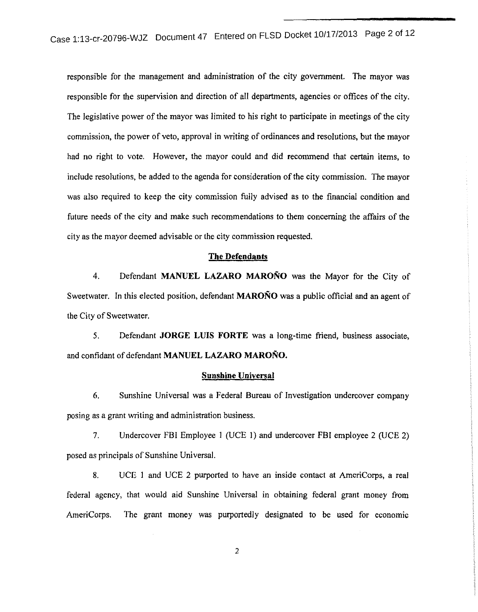case 1:13-cr-20796-WJZ Document 47 Entered on FLSD Docket 10/17/2013 Page 2 of 12

responsible for the management and administration of the city government. The mayor was responsible for the supervision and direction of all departments, agencies or offices of the city. The legislative power of the mayor was limited to his right to participate in meetings of the city commission, the power of veto, approval in writing of ordinances and resolutions, but the mayor had no right to vote. However, the mayor could and did recommend that certain items, to include resolutions, be added to the agenda for consideration of the city commission. The mayor was also required to keep the city commission fully advised as to the financial condition and future needs of the city and make such recommendations to them concerning the affairs of the city as the mayor deemed advisable or the city commission requested.

### **The Defendants**

4. Defendant **MANUEL LAZARO MARONO** was the Mayor for the City of Sweetwater. In this elected position, defendant **MARONO** was a public official and an agent of the City of Sweetwater.

5. Defendant **JORGE LUIS FORTE** was a long-time friend, business associate, and confidant of defendant **MANUEL LAZARO MARONO.** 

### **Sunshine Universal**

6. Sunshine Universal was a Federal Bureau of Investigation undercover company posing as a grant writing and administration business.

7. Undercover FBI Employee 1 (UCE l) and undercover FBI employee 2 (UCE 2) posed as principals of Sunshine Universal.

8. UCE I and UCE 2 purported to have an inside contact at AmeriCorps, a real federal agency, that would aid Sunshine Universal in obtaining federal grant money from AmeriCorps. The grant money was purportedly designated to be used for economic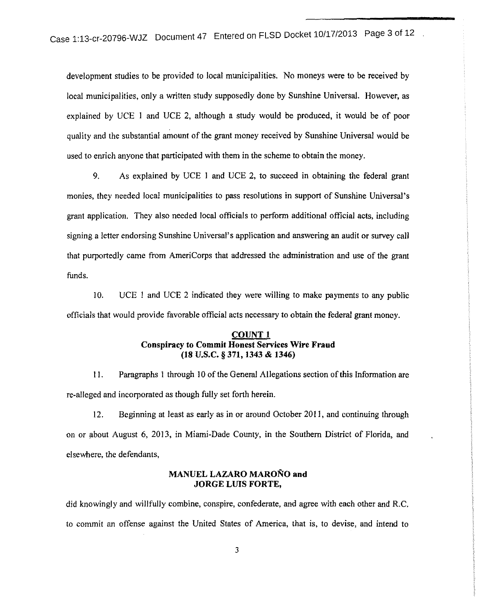development studies to be provided to local municipalities. No moneys were to be received by local municipalities, only a written study supposedly done by Sunshine Universal. However, as explained by UCE I and UCE 2, although a study would be produced, it would be of poor quality and the substantial amount of the grant money received by Sunshine Universal would be used to enrich anyone that participated with them in the scheme to obtain the money.

9. As explained by UCE 1 and UCE 2, to succeed in obtaining the federal grant monies, they needed local municipalities to pass resolutions in support of Sunshine Universal's grant application. They also needed local officials to perform additional official acts, including signing a letter endorsing Sunshine Universal's application and answering an audit or survey call that purportedly came from AmeriCorps that addressed the administration and use of the grant funds.

10. UCE 1 and UCE 2 indicated they were willing to make payments to any public officials that would provide favorable official acts necessary to obtain the federal grant money.

### **COUNT 1 Conspiracy to Commit Honest Services Wire Fraud (18 u.s.c. § 371, 1343 & 1346)**

II. Paragraphs I through I 0 of the General Allegations section of this Information are re-alleged and incorporated as though fully set forth herein.

12. Beginning at least as early as in or around October 2011, and continuing through on or about August 6, 2013, in Miami-Dade County, in the Southern District of Florida, and elsewhere, the defendants,

### **MANUEL LAZARO MARONO and JORGE LUIS FORTE,**

did knowingly and willfully combine, conspire, confederate, and agree with each other and R.C. to commit an offense against the United States of America, that is, to devise, and intend to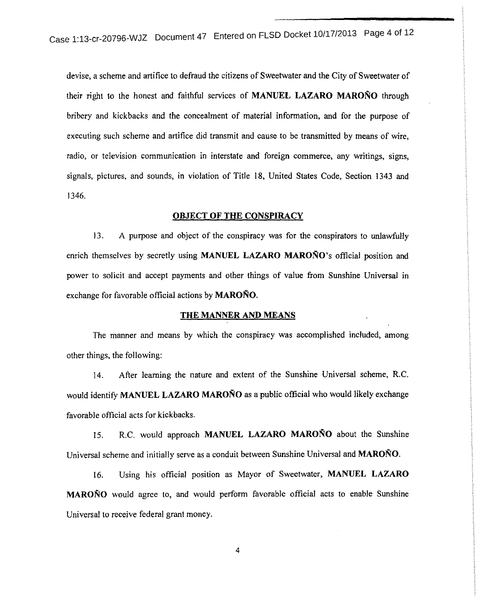case 1:13-cr-20796-WJZ Document 47 Entered on FLSD Docket 10/17/2013 Page 4 of 12

devise, a scheme and artifice to defraud the citizens of Sweetwater and the City of Sweetwater of their right to the honest and faithful services of **MANUEL LAZARO MARONO** through bribery and kickbacks and the concealment of material information, and for the purpose of executing such scheme and artifice did transmit and cause to be transmitted by means of wire, radio, or television communication in interstate and foreign commerce, any writings, signs, signals, pictures, and sounds, in violation of Title 18, United States Code, Section 1343 and 1346.

### **OBJECT OF THE CONSPIRACY**

13. A purpose and object of the conspiracy was for the conspirators to unlawfully enrich themselves by secretly using **MANUEL LAZARO MARONO's** official position and power to solicit and accept payments and other things of value from Sunshine Universal in exchange for favorable official actions by **MARONO.** 

### **THE MANNER AND MEANS**

The manner and means by which the conspiracy was accomplished included, among other things, the following:

14. After learning the nature and extent of the Sunshine Universal scheme, R.C. would identify **MANUEL LAZARO MARONO** as a public official who would likely exchange favorable official acts for kickbacks.

15. R.C. would approach **MANUEL LAZARO MARONO** about the Sunshine Universal scheme and initially serve as a conduit between Sunshine Universal and MAROÑO.

16. Using his official position as Mayor of Sweetwater, **MANUEL LAZARO MARONO** would agree to, and would perform favorable official acts to enable Sunshine Universal to receive federal grant money.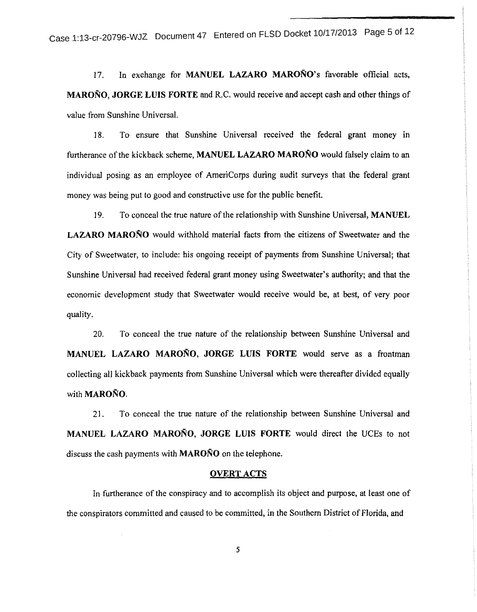17. In exchange for **MANUEL LAZARO MAROÑO**'s favorable official acts, **MARONO, JORGE LUIS FORTE** and R.C. would receive and accept cash and other things of value from Sunshine Universal.

18. To ensure that Sunshine Universal received the federal grant money in furtherance of the kickback scheme, **MANUEL LAZARO MARONO** would falsely claim to an individual posing as an employee of AmeriCorps during audit surveys that the federal grant money was being put to good and constructive use for the public benefit.

I 9. To conceal the true nature of the relationship with Sunshine Universal, **MANUEL LAZARO MARONO** would withhold material facts from the citizens of Sweetwater and the City of Sweetwater, to include: his ongoing receipt of payments from Sunshine Universal; that Sunshine Universal had received federal grant money using Sweetwater's authority; and that the economic development study that Sweetwater would receive would be, at best, of very poor quality.

20. To conceal the true nature of the relationship between Sunshine Universal and **MANUEL LAZARO MARONO, JORGE LUIS FORTE** would serve as a frontman collecting all kickback payments from Sunshine Universal which were thereafter divided equally with **MARONO.** 

21. To conceal the true nature of the relationship between Sunshine Universal and **MANUEL LAZARO MARONO, JORGE LUIS FORTE** would direct the UCEs to not discuss the cash payments with **MARONO** on the telephone.

### **OVERT ACTS**

In furtherance of the conspiracy and to accomplish its object and purpose, at least one of the conspirators committed and caused to be committed, in the Southern District of Florida, and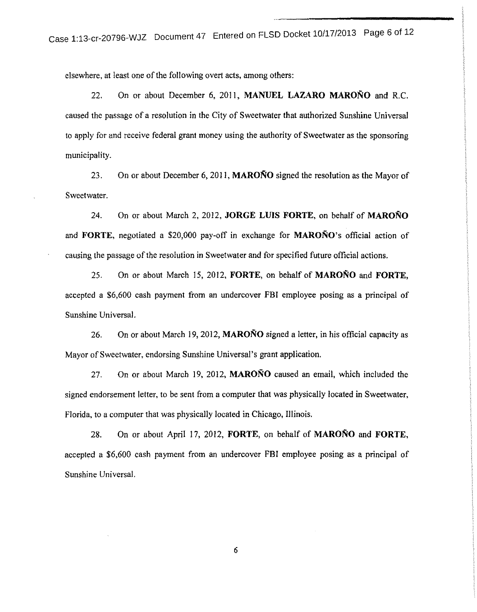elsewhere, at least one of the following overt acts, among others:

22. On or about December 6, 2011, **MANUEL LAZARO MARONO** and R.C. caused the passage of a resolution in the City of Sweetwater that authorized Sunshine Universal to apply for and receive federal grant money using the authority of Sweetwater as the sponsoring municipality.

23. On or about December 6, 2011, **MARONO** signed the resolution as the Mayor of Sweetwater.

24. On or about March 2, 2012, **JORGE LUIS FORTE,** on behalf of **MARONO**  and **FORTE,** negotiated a \$20,000 pay-off in exchange for **MARONO's** official action of causing the passage of the resolution in Sweetwater and for specified future official actions.

25. On or about March 15, 2012, **FORTE,** on behalf of **MARONO and FORTE,**  accepted a \$6,600 cash payment from an undercover FBI employee posing as a principal of Sunshine Universal.

26. On or about March 19, 2012, **MARONO** signed a letter, in his official capacity as Mayor of Sweetwater, endorsing Sunshine Universal's grant application.

27. On or about March 19, 2012, **MARONO** caused an email, which included the signed endorsement letter, to be sent from a computer that was physically located in Sweetwater, Florida, to a computer that was physically located in Chicago, Illinois.

28. On or about April 17, 2012, **FORTE,** on behalf of **MARONO** and **FORTE,**  accepted a \$6,600 cash payment from an undercover FBI employee posing as a principal of Sunshine Universal.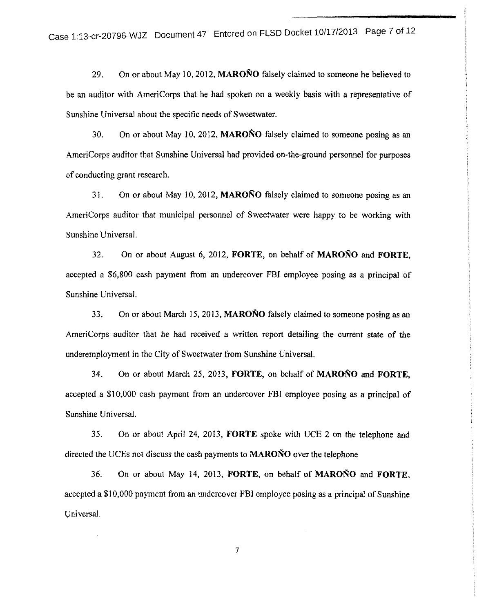29. On or about May 10,2012, **MARONO** falsely claimed to someone he believed to be an auditor with AmeriCorps that he had spoken on a weekly basis with a representative of Sunshine Universal about the specific needs of Sweetwater.

30. On or about May 10, 2012, **MARONO** falsely claimed to someone posing as an AmeriCorps auditor that Sunshine Universal had provided on-the-ground personnel for purposes of conducting grant research.

31. On or about May 10, 2012, **MARONO** falsely claimed to someone posing as an AmeriCorps auditor that municipal personnel of Sweetwater were happy to be working with Sunshine Universal.

32. On or about August 6, 2012, **FORTE,** on behalf of **MARONO and FORTE,**  accepted a \$6,800 cash payment from an undercover FBI employee posing as a principal of Sunshine Universal.

33. On or about March 15, 2013, **MARONO** falsely claimed to someone posing as an AmeriCorps auditor that he had received a written report detailing the current state of the underemployment in the City of Sweetwater from Sunshine Universal.

34. On or about March 25, 2013, **FORTE,** on behalf of **MARONO and FORTE,**  accepted a \$10,000 cash payment from an undercover FBI employee posing as a principal of Sunshine Universal.

35. On or about April 24, 2013, **FORTE** spoke with UCE 2 on the telephone and directed the UCEs not discuss the cash payments to **MARONO** over the telephone

36. On or about May 14, 2013, **FORTE,** on behalf of **MARONO and FORTE,**  accepted a \$10,000 payment from an undercover FBI employee posing as a principal of Sunshine Universal.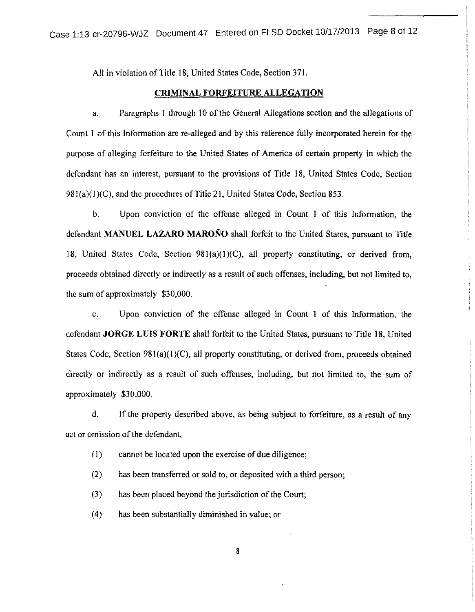All in violation of Title 18, United States Code, Section 371.

### **CRIMINAL FORFEITURE ALLEGATION**

a. Paragraphs I through 10 of the General Allegations section and the allegations of Count I of this Information are re-alleged and by this reference fully incorporated herein for the purpose of alleging forfeiture to the United States of America of certain property in which the defendant has an interest, pursuant to the provisions of Title 18, United States Code, Section 981(a)(1)(C), and the procedures of Title 21, United States Code, Section 853.

b. Upon conviction of the offense alleged in Count I of this Information, the defendant **MANUEL LAZARO MARONO** shall forfeit to the United States, pursuant to Title 18, United States Code, Section 981(a)(I)(C), all property constituting, or derived from, proceeds obtained directly or indirectly as a result of such offenses, including, but not limited to, the sum of approximately \$30,000.

c. Upon conviction of the offense alleged in Count I of this Information, the defendant **JORGE LUIS FORTE** shall forfeit to the United States, pursuant to Title 18, United States Code, Section  $981(a)(1)(C)$ , all property constituting, or derived from, proceeds obtained directly or indirectly as a result of such offenses, including, but not limited to, the sum of approximately \$30,000.

d. If the property described above, as being subject to forfeiture, as a result of any act or omission of the defendant,

(1) cannot be located upon the exercise of due diligence;

(2) has been transferred or sold to, or deposited with a third person;

{3) has been placed beyond the jurisdiction of the Court;

(4) has been substantially diminished in value; or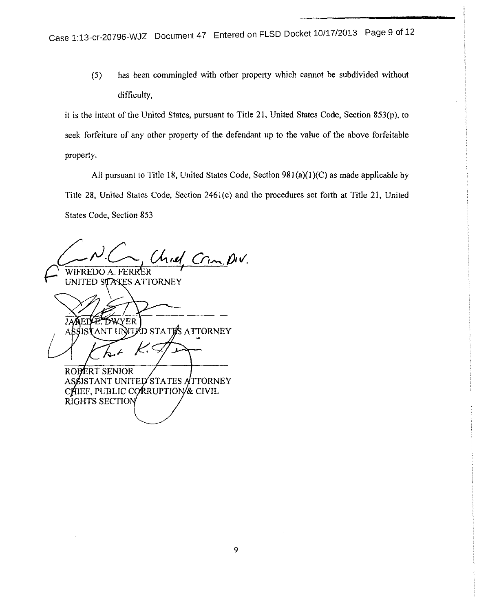(5) has been commingled with other property which cannot be subdivided without difficulty,

it is the intent of the United States, pursuant to Title 21, United States Code, Section 853(p), to seek forfeiture of any other property of the defendant up to the value of the above forfeitable property.

All pursuant to Title 18, United States Code, Section 981(a)(I)(C) as made applicable by Title 28, United States Code, Section 2461(c) and the procedures set forth at Title 21, United States Code, Section 853

 $\mathcal{L}^{\mathcal{L}}$  $Ch$ *rel. Crm. piv.* WIFREDO A. FERR<sup>E</sup>R

UNITED STAKES ATTORNEY

YER

**NTED STATES ATTORNEY** ANT UI

ROBERT SENIOR STATES ATTORNEY ASSISTANT UNITEI CHIEF, PUBLIC CORRUPTION & CIVIL RIGHTS SECTIO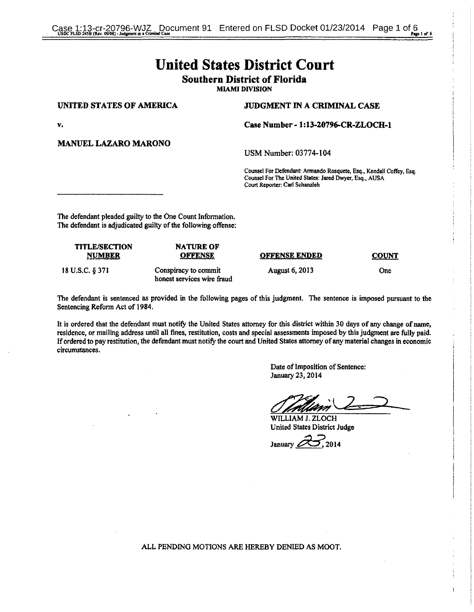# United States District Court Southern District of Florida

MIAMI DIVISION

### UNITED STATES OF AMERICA JUDGMENT IN A CRIMINAL CASE

v. Case Number - 1:13-20796-CR-ZLOCH-1

MANUEL LAZARO MARONO

USMNumber: 03774-104

Counsel For Defendant: Armando Rosquete, Esq., Kendall Coffey, Esq. Counsel For The United States: Jared Dwyer, Esq., AUSA Court Reporter: Carl Schanzleh

The defendant pleaded guilty to the One Count Information. The defendant is adjudicated guilty of the following offense:

| <b>TITLE/SECTION</b><br><b>NUMBER</b> | <b>NATURE OF</b><br><b>OFFENSE</b>                 | <b>OFFENSE ENDED</b>  | <b>COUNT</b> |
|---------------------------------------|----------------------------------------------------|-----------------------|--------------|
| 18 U.S.C. § 371                       | Conspiracy to commit<br>honest services wire fraud | <b>August 6, 2013</b> | One          |

The defendant is sentenced as provided in the following pages of this judgment. The sentence is imposed pursuant to the Sentencing Refonn Act of 1984.

It is ordered that the defendant must notify the United States attorney for this district within 30 days of any change of name, residence, or mailing address until all fines, restitution, costs and special assessments imposed by this judgment are fully paid. If ordered to pay restitution, the defendant must notify the court and United States attorney of any material changes in economic circumstances.

> Date of Imposition of Sentence: January 23, 2014

 $O$  prison  $\sim$ \~2§::-::::::.:::2::---

WILLIAM J. ZLOCH

United States District Judge<br>January 2014

ALL PENDING MOTIONS ARE HEREBY DENIED AS MOOT.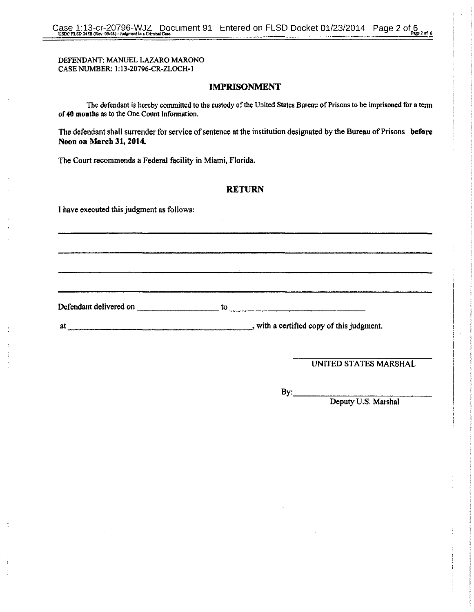### DEFENDANT: MANUEL LAZARO MARONO CASE NUMBER: 1:13-20796-CR-ZLOCH-1

### **IMPRISONMENT**

The defendant is hereby committed to the custody of the United States Bureau of Prisons to be imprisoned for a term of **40 montbs** as to the One Count Information.

The defendant shall surrender for service of sentence at the institution designated by the Bureau of Prisons **before Noon on March 31, 2014.** 

The Court recommends a Federal facility **in** Miami, Florida.

Defendant delivered on \_\_\_\_\_\_\_\_\_\_\_\_\_\_\_\_\_\_\_\_\_\_\_ to-

### **RETURN**

I have executed this judgment as follows:

at \_\_\_\_\_\_\_\_\_\_\_\_\_\_\_\_\_\_ \_, with a certified copy of this judgment.

UNITED STATES MARSHAL

 $By:$ 

Deputy U.S. Marshal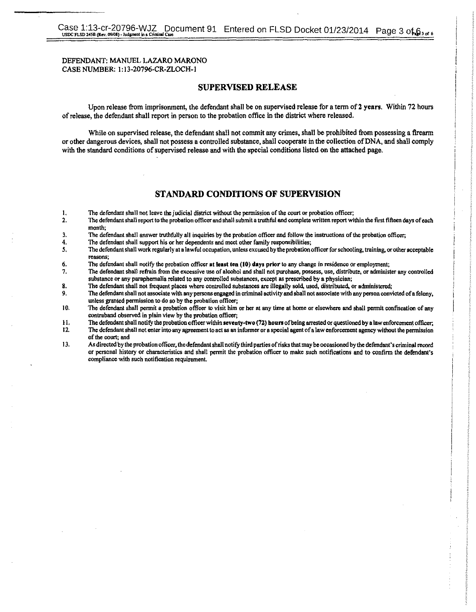### DEFENDANT: MANUEL LAZARO MARONO CASE NUMBER: 1:13-20796-CR-ZLOCH-1

### SUPERVISED RELEASE

Upon release from imprisonment, the defendant shall be on supervised release for a term of 2 years. Within 72 hours of release, the defendant shall report in person to the probation office in the district where released.

While on supervised release, the defendant shall not commit any crimes, shall be prohibited from possessing a firearm or other dangerous devices, shall not possess a controlled substance, shall cooperate in the collection of DNA, and shall comply with the standard conditions of supervised release and with the special conditions listed on the attached page.

### STANDARD CONDITIONS OF SUPERVISION

- **I.** The defendant shall not leave the judicial district without the permission of the court or probation officer; <br>**2.** The defendant shall report to the probation officer and shall submit a truthful and complete written
- 2. The defendant shall report to the probation officer and shall submit a truthful and oomplete written report within the first fifteen days of each **month;**
- 3. The defendant shall answer truthfully all inquiries by the probation officer and follow the instructions of the probation officer;<br>4. The defendant shall support his or her dependents and meet other family responsibilit
- **4. The defendant shall support his or her dependents and meet other family responsibilities;**
- **5, The defendant shall work regularly at a lawful occupation, unless excused by the probation officer for schooling. training. or other acceptable reasons;**
- **6.** The defendant shall notify the probation officer at tenst ten (10) days prior to any change in residence or employment;<br>7. The defendant shall refrain from the excessive use of alcohol and shall not purchase, possess,
- **7. The defendant shall refrain from the excessive use of alcohol and shall not purchase. possess, use. distribute, or administer any controlled**  substance or any paraphernalia related to any controlled substances, except as prescribed by a physician;
- 8. The defendent shall not frequent places where controlled substanees are illegally sold, used, distributed, or administered;
- **9. The defendant shall not associate with any persons engaged in criminal activity and shall not associate with any person convicted of a felony, Wlless granted pennission to do so by the probation officer;**
- **J 0. The defendant shall pennit a probation officer to visit him or her at any time at home or elsewhere and sbaJI permit confiscation of any contraband observed in plain view by the probation officer;**
- II. The defendant shall notify the probation officer within seventy-two (72) hours of being arrested or questioned by a law enforcement officer;<br>I2. The defendant shall not enter into any agreement to act as an informer or
- **12 The defendant shall not enter into any agreement to act as an infonner or a special agent of a law enforcement agency without the pennission of the court; and**
- 13. As directed by the probation officer, the defendant shall notify third parties of risks that may be occasioned by the defendant's criminal record **or personal history or characteristics and shall pennit the probation officer to make such notifications and to confinn the defendant's**  compliance with such notification requirement.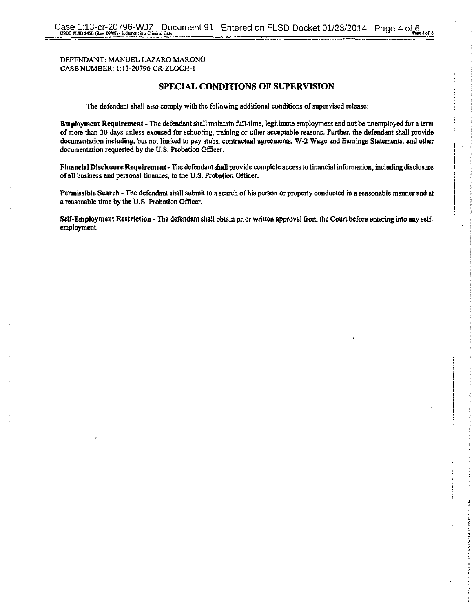### DEFENDANT: MANUEL LAZARO MARONO CASE NUMBER: 1: 13-20796-CR-ZLOCH-1

### **SPECIAL CONDITIONS OF SUPERVISION**

The defendant shall also comply with the following additional conditions of supervised release:

**Employment Requirement** -The defendant shall maintain full-time, legitimate employment and not be unemployed for a term of more than 30 days unless excused for schooling, training or other acceptable reasons. Fwther, the defendant shall provide documentation including, but not limited to pay stubs, contractual agreements, W-2 Wage and Earnings Statements, and other documentation requested by the U.S. Probation Officer.

**Financial Disclosure Requirement-** The defendant shall provide complete access to financial infonnation, including disclosure of all business and personal finances, to the U.S. Probation Officer.

Permissible Search - The defendant shall submit to a search of his person or property conducted in a reasonable manner and at a reasonable time by the U.S. Probation Officer.

**Self-Employment Restriction** -The defendant shall obtain prior written approval from the Court before entering into any selfemployment.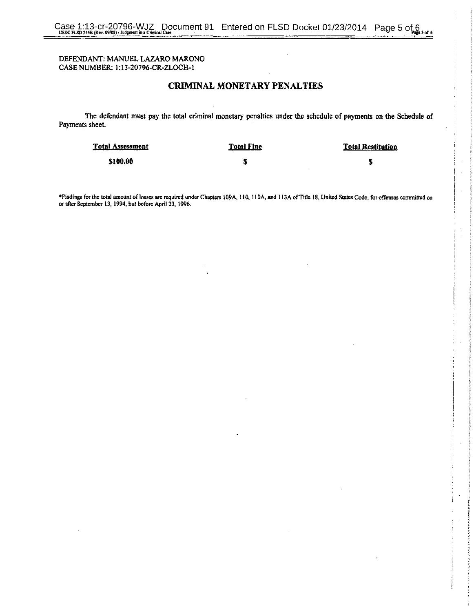### DEFENDANT: MANUEL LAZARO MARONO CASE NUMBER: l: 13-20796-CR-ZLOCH-1

### CRIMINAL MONETARY PENALTIES

The defendant must pay the total criminal monetary penalties under the schedule of payments on the Schedule of Payments sheet.

| <b>Total Assessment</b> | <b>Total Fine</b> | <b>Total Restitution</b> |
|-------------------------|-------------------|--------------------------|
| \$100.00                | m<br>v.           | м                        |

•Findings for the total amount of losses are required under Chapters to9A. 110, I lOA. and I J3A ofTit1e 18, United States Code, for offenses committed on or after September 13, 1994, but before April23, 1996.